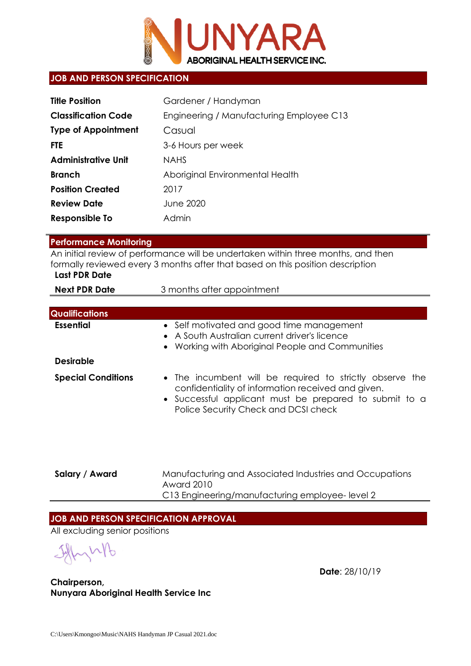

### **JOB AND PERSON SPECIFICATION**

| <b>Title Position</b>      | Gardener / Handyman                      |
|----------------------------|------------------------------------------|
| <b>Classification Code</b> | Engineering / Manufacturing Employee C13 |
| <b>Type of Appointment</b> | Casual                                   |
| <b>FTE</b>                 | 3-6 Hours per week                       |
| <b>Administrative Unit</b> | <b>NAHS</b>                              |
| <b>Branch</b>              | Aboriginal Environmental Health          |
| <b>Position Created</b>    | 2017                                     |
| <b>Review Date</b>         | <b>June 2020</b>                         |
| Responsible To             | Admin                                    |

## **Performance Monitoring**

An initial review of performance will be undertaken within three months, and then formally reviewed every 3 months after that based on this position description

# **Last PDR Date**

| <b>Next PDR Date</b>  | 3 months after appointment                                                                                                                     |  |  |
|-----------------------|------------------------------------------------------------------------------------------------------------------------------------------------|--|--|
|                       |                                                                                                                                                |  |  |
| <b>Qualifications</b> |                                                                                                                                                |  |  |
| Essential             | • Self motivated and good time management<br>• A South Australian current driver's licence<br>• Working with Aboriginal People and Communities |  |  |
| <b>Desirable</b>      |                                                                                                                                                |  |  |
| Saaajal Candiliane    | The incumpant will be required to strictly ebsence the                                                                                         |  |  |

- **Special Conditions** The incumbent will be required to strictly observe the confidentiality of information received and given.
	- Successful applicant must be prepared to submit to a Police Security Check and DCSI check

**Salary / Award** Manufacturing and Associated Industries and Occupations Award 2010 C13 Engineering/manufacturing employee- level 2

# **JOB AND PERSON SPECIFICATION APPROVAL**

All excluding senior positions

**Date**: 28/10/19

**Chairperson, Nunyara Aboriginal Health Service Inc**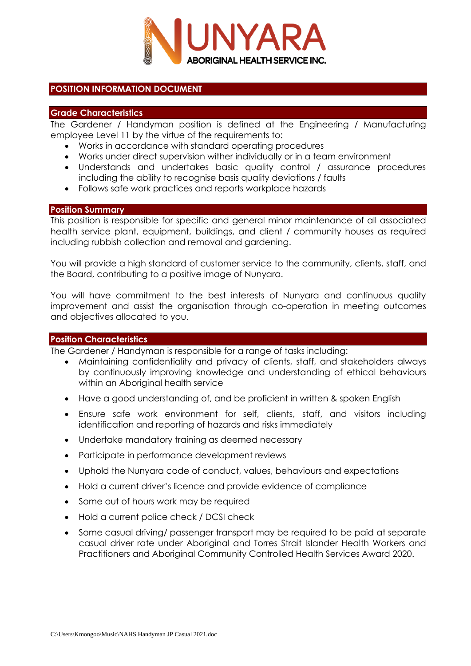

### **POSITION INFORMATION DOCUMENT**

### **Grade Characteristics**

The Gardener / Handyman position is defined at the Engineering / Manufacturing employee Level 11 by the virtue of the requirements to:

- Works in accordance with standard operating procedures
- Works under direct supervision wither individually or in a team environment
- Understands and undertakes basic quality control / assurance procedures including the ability to recognise basis quality deviations / faults
- Follows safe work practices and reports workplace hazards

#### **Position Summary**

This position is responsible for specific and general minor maintenance of all associated health service plant, equipment, buildings, and client / community houses as required including rubbish collection and removal and gardening.

You will provide a high standard of customer service to the community, clients, staff, and the Board, contributing to a positive image of Nunyara.

You will have commitment to the best interests of Nunyara and continuous quality improvement and assist the organisation through co-operation in meeting outcomes and objectives allocated to you.

#### **Position Characteristics**

The Gardener / Handyman is responsible for a range of tasks including:

- Maintaining confidentiality and privacy of clients, staff, and stakeholders always by continuously improving knowledge and understanding of ethical behaviours within an Aboriginal health service
- Have a good understanding of, and be proficient in written & spoken English
- Ensure safe work environment for self, clients, staff, and visitors including identification and reporting of hazards and risks immediately
- Undertake mandatory training as deemed necessary
- Participate in performance development reviews
- Uphold the Nunyara code of conduct, values, behaviours and expectations
- Hold a current driver's licence and provide evidence of compliance
- Some out of hours work may be required
- Hold a current police check / DCSI check
- Some casual driving/ passenger transport may be required to be paid at separate casual driver rate under Aboriginal and Torres Strait Islander Health Workers and Practitioners and Aboriginal Community Controlled Health Services Award 2020.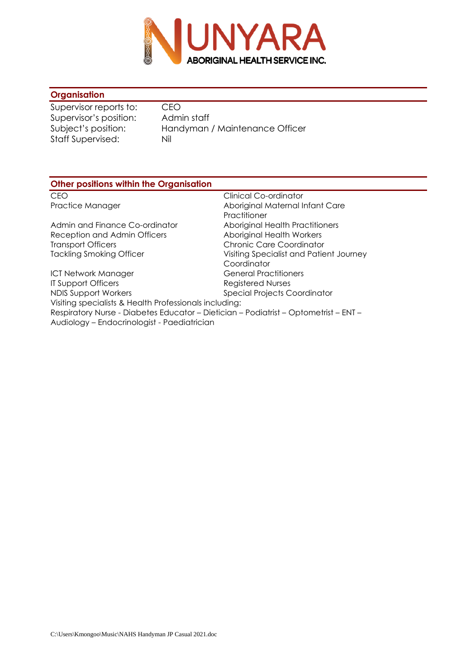

# **Organisation**

Supervisor reports to: CEO Supervisor's position: Admin staff<br>Subject's position: Handyman Staff Supervised: Nil

Handyman / Maintenance Officer

| <b>Other positions within the Organisation</b>                                       |                                         |  |  |  |
|--------------------------------------------------------------------------------------|-----------------------------------------|--|--|--|
| CEO                                                                                  | Clinical Co-ordinator                   |  |  |  |
| Practice Manager                                                                     | Aboriginal Maternal Infant Care         |  |  |  |
|                                                                                      | Practitioner                            |  |  |  |
| Admin and Finance Co-ordinator                                                       | Aboriginal Health Practitioners         |  |  |  |
| Reception and Admin Officers                                                         | <b>Aboriginal Health Workers</b>        |  |  |  |
| <b>Transport Officers</b>                                                            | Chronic Care Coordinator                |  |  |  |
| <b>Tackling Smoking Officer</b>                                                      | Visiting Specialist and Patient Journey |  |  |  |
|                                                                                      | Coordinator                             |  |  |  |
| ICT Network Manager                                                                  | <b>General Practitioners</b>            |  |  |  |
| <b>IT Support Officers</b>                                                           | <b>Registered Nurses</b>                |  |  |  |
| NDIS Support Workers                                                                 | <b>Special Projects Coordinator</b>     |  |  |  |
| Visiting specialists & Health Professionals including:                               |                                         |  |  |  |
| Respiratory Nurse - Diabetes Educator - Dietician - Podiatrist - Optometrist - ENT - |                                         |  |  |  |
| Audiology – Endocrinologist - Paediatrician                                          |                                         |  |  |  |
|                                                                                      |                                         |  |  |  |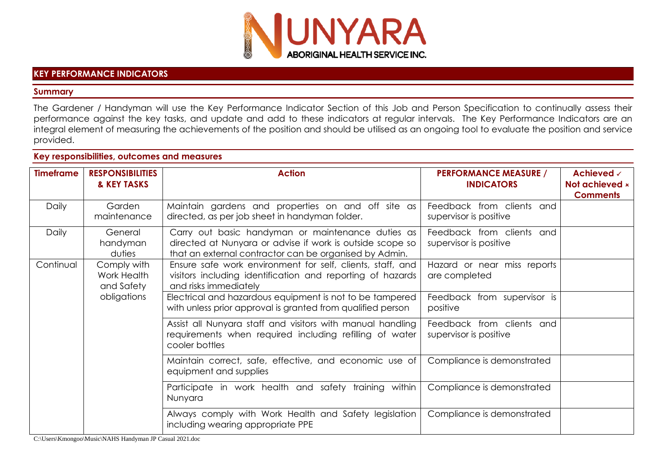

#### **KEY PERFORMANCE INDICATORS**

#### **Summary**

The Gardener / Handyman will use the Key Performance Indicator Section of this Job and Person Specification to continually assess their performance against the key tasks, and update and add to these indicators at regular intervals. The Key Performance Indicators are an integral element of measuring the achievements of the position and should be utilised as an ongoing tool to evaluate the position and service provided.

### **Key responsibilities, outcomes and measures**

| <b>Timeframe</b>                                                     | <b>RESPONSIBILITIES</b><br>& KEY TASKS                                                                                                            | <b>Action</b>                                                                                                                                                            | <b>PERFORMANCE MEASURE /</b><br><b>INDICATORS</b>   | Achieved √<br>Not achieved <b>x</b><br><b>Comments</b> |
|----------------------------------------------------------------------|---------------------------------------------------------------------------------------------------------------------------------------------------|--------------------------------------------------------------------------------------------------------------------------------------------------------------------------|-----------------------------------------------------|--------------------------------------------------------|
| Daily                                                                | Garden<br>maintenance                                                                                                                             | Maintain gardens and properties on and off site as<br>directed, as per job sheet in handyman folder.                                                                     | Feedback from clients and<br>supervisor is positive |                                                        |
| Daily                                                                | General<br>handyman<br>duties                                                                                                                     | Carry out basic handyman or maintenance duties as<br>directed at Nunyara or advise if work is outside scope so<br>that an external contractor can be organised by Admin. | Feedback from clients and<br>supervisor is positive |                                                        |
| Continual<br>Comply with<br>Work Health<br>and Safety<br>obligations | Ensure safe work environment for self, clients, staff, and<br>visitors including identification and reporting of hazards<br>and risks immediately | Hazard or near miss reports<br>are completed                                                                                                                             |                                                     |                                                        |
|                                                                      | Electrical and hazardous equipment is not to be tampered<br>with unless prior approval is granted from qualified person                           | Feedback from supervisor is<br>positive                                                                                                                                  |                                                     |                                                        |
|                                                                      | Assist all Nunyara staff and visitors with manual handling<br>requirements when required including refilling of water<br>cooler bottles           | Feedback from clients<br>and<br>supervisor is positive                                                                                                                   |                                                     |                                                        |
|                                                                      | Maintain correct, safe, effective, and economic use of<br>equipment and supplies                                                                  | Compliance is demonstrated                                                                                                                                               |                                                     |                                                        |
|                                                                      |                                                                                                                                                   | Participate in work health and safety training within<br>Nunyara                                                                                                         | Compliance is demonstrated                          |                                                        |
|                                                                      |                                                                                                                                                   | Always comply with Work Health and Safety legislation<br>including wearing appropriate PPE                                                                               | Compliance is demonstrated                          |                                                        |

C:\Users\Kmongoo\Music\NAHS Handyman JP Casual 2021.doc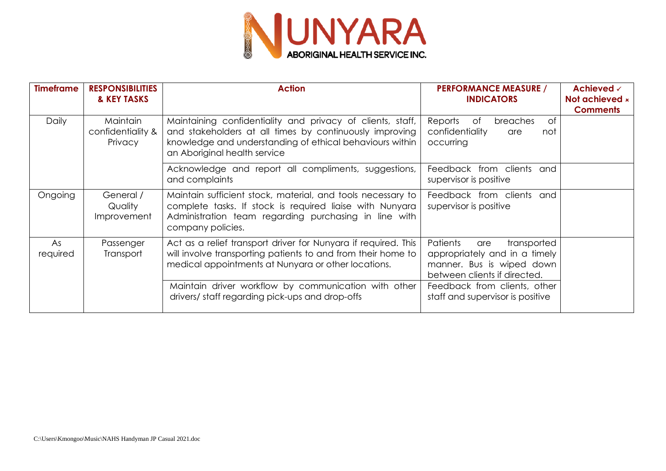

| <b>Timeframe</b>                         | <b>RESPONSIBILITIES</b><br>& KEY TASKS          | <b>Action</b>                                                                                                                                                                                                     | <b>PERFORMANCE MEASURE /</b><br><b>INDICATORS</b>                                                                            | Achieved √<br>Not achieved <b>x</b><br><b>Comments</b> |
|------------------------------------------|-------------------------------------------------|-------------------------------------------------------------------------------------------------------------------------------------------------------------------------------------------------------------------|------------------------------------------------------------------------------------------------------------------------------|--------------------------------------------------------|
| Daily                                    | <b>Maintain</b><br>confidentiality &<br>Privacy | Maintaining confidentiality and privacy of clients, staff,<br>and stakeholders at all times by continuously improving<br>knowledge and understanding of ethical behaviours within<br>an Aboriginal health service | 0f<br>Reports<br>of<br>breaches<br>confidentiality<br>not<br>are<br>occurring                                                |                                                        |
|                                          |                                                 | Acknowledge and report all compliments, suggestions,<br>and complaints                                                                                                                                            | Feedback from clients<br>and<br>supervisor is positive                                                                       |                                                        |
| Ongoing                                  | General /<br>Quality<br>Improvement             | Maintain sufficient stock, material, and tools necessary to<br>complete tasks. If stock is required liaise with Nunyara<br>Administration team regarding purchasing in line with<br>company policies.             | Feedback from clients<br>and<br>supervisor is positive                                                                       |                                                        |
| As<br>Passenger<br>Transport<br>required |                                                 | Act as a relief transport driver for Nunyara if required. This<br>will involve transporting patients to and from their home to<br>medical appointments at Nunyara or other locations.                             | Patients<br>transported<br>are<br>appropriately and in a timely<br>manner. Bus is wiped down<br>between clients if directed. |                                                        |
|                                          |                                                 | Maintain driver workflow by communication with other<br>drivers/ staff regarding pick-ups and drop-offs                                                                                                           | Feedback from clients, other<br>staff and supervisor is positive                                                             |                                                        |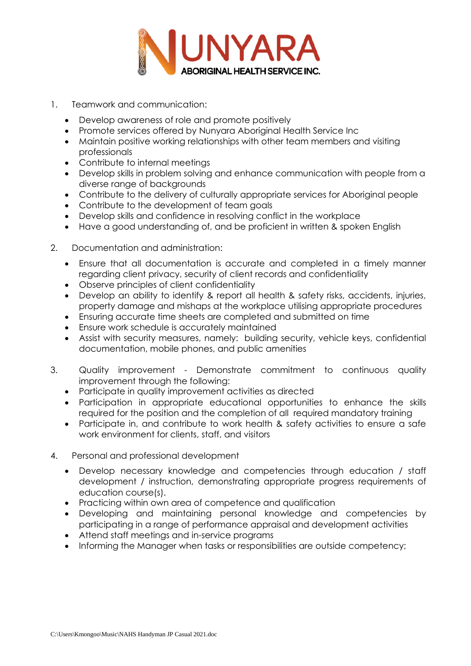

- 1. Teamwork and communication:
	- Develop awareness of role and promote positively
	- Promote services offered by Nunyara Aboriginal Health Service Inc
	- Maintain positive working relationships with other team members and visiting professionals
	- Contribute to internal meetings
	- Develop skills in problem solving and enhance communication with people from a diverse range of backgrounds
	- Contribute to the delivery of culturally appropriate services for Aboriginal people
	- Contribute to the development of team goals
	- Develop skills and confidence in resolving conflict in the workplace
	- Have a good understanding of, and be proficient in written & spoken English
- 2. Documentation and administration:
	- Ensure that all documentation is accurate and completed in a timely manner regarding client privacy, security of client records and confidentiality
	- Observe principles of client confidentiality
	- Develop an ability to identify & report all health & safety risks, accidents, injuries, property damage and mishaps at the workplace utilising appropriate procedures
	- Ensuring accurate time sheets are completed and submitted on time
	- Ensure work schedule is accurately maintained
	- Assist with security measures, namely: building security, vehicle keys, confidential documentation, mobile phones, and public amenities
- 3. Quality improvement Demonstrate commitment to continuous quality improvement through the following:
	- Participate in quality improvement activities as directed
	- Participation in appropriate educational opportunities to enhance the skills required for the position and the completion of all required mandatory training
	- Participate in, and contribute to work health & safety activities to ensure a safe work environment for clients, staff, and visitors
- 4. Personal and professional development
	- Develop necessary knowledge and competencies through education / staff development / instruction, demonstrating appropriate progress requirements of education course(s).
	- Practicing within own area of competence and qualification
	- Developing and maintaining personal knowledge and competencies by participating in a range of performance appraisal and development activities
	- Attend staff meetings and in-service programs
	- Informing the Manager when tasks or responsibilities are outside competency;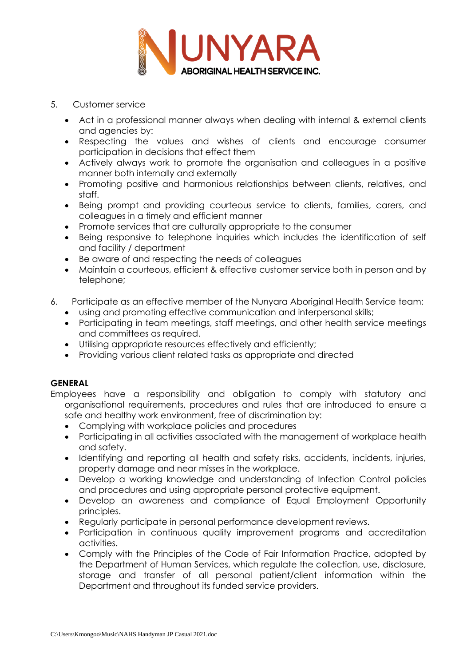

- 5. Customer service
	- Act in a professional manner always when dealing with internal & external clients and agencies by:
	- Respecting the values and wishes of clients and encourage consumer participation in decisions that effect them
	- Actively always work to promote the organisation and colleagues in a positive manner both internally and externally
	- Promoting positive and harmonious relationships between clients, relatives, and staff.
	- Being prompt and providing courteous service to clients, families, carers, and colleagues in a timely and efficient manner
	- Promote services that are culturally appropriate to the consumer
	- Being responsive to telephone inquiries which includes the identification of self and facility / department
	- Be aware of and respecting the needs of colleagues
	- Maintain a courteous, efficient & effective customer service both in person and by telephone;
- 6. Participate as an effective member of the Nunyara Aboriginal Health Service team:
	- using and promoting effective communication and interpersonal skills;
	- Participating in team meetings, staff meetings, and other health service meetings and committees as required.
	- Utilising appropriate resources effectively and efficiently;
	- Providing various client related tasks as appropriate and directed

# **GENERAL**

- Employees have a responsibility and obligation to comply with statutory and organisational requirements, procedures and rules that are introduced to ensure a safe and healthy work environment, free of discrimination by:
	- Complying with workplace policies and procedures
	- Participating in all activities associated with the management of workplace health and safety.
	- Identifying and reporting all health and safety risks, accidents, incidents, injuries, property damage and near misses in the workplace.
	- Develop a working knowledge and understanding of Infection Control policies and procedures and using appropriate personal protective equipment.
	- Develop an awareness and compliance of Equal Employment Opportunity principles.
	- Regularly participate in personal performance development reviews.
	- Participation in continuous quality improvement programs and accreditation activities.
	- Comply with the Principles of the Code of Fair Information Practice, adopted by the Department of Human Services, which regulate the collection, use, disclosure, storage and transfer of all personal patient/client information within the Department and throughout its funded service providers.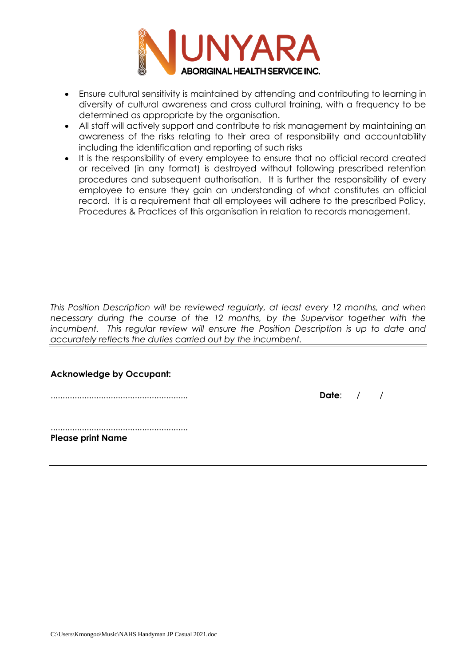

- Ensure cultural sensitivity is maintained by attending and contributing to learning in diversity of cultural awareness and cross cultural training, with a frequency to be determined as appropriate by the organisation.
- All staff will actively support and contribute to risk management by maintaining an awareness of the risks relating to their area of responsibility and accountability including the identification and reporting of such risks
- It is the responsibility of every employee to ensure that no official record created or received (in any format) is destroyed without following prescribed retention procedures and subsequent authorisation. It is further the responsibility of every employee to ensure they gain an understanding of what constitutes an official record. It is a requirement that all employees will adhere to the prescribed Policy, Procedures & Practices of this organisation in relation to records management.

*This Position Description will be reviewed regularly, at least every 12 months, and when necessary during the course of the 12 months, by the Supervisor together with the incumbent. This regular review will ensure the Position Description is up to date and accurately reflects the duties carried out by the incumbent.*

# **Acknowledge by Occupant:**

......................................................... **Date**: / /

......................................................... **Please print Name**